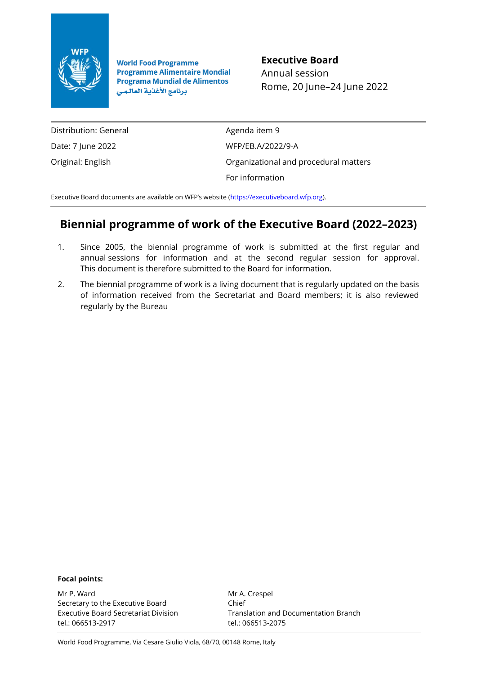

**World Food Programme Programme Alimentaire Mondial Programa Mundial de Alimentos** برنامج الأغذية العالمى

**Executive Board** Annual session Rome, 20 June–24 June 2022

Distribution: General Date: 7 June 2022 Original: English

Agenda item 9 WFP/EB.A/2022/9-A Organizational and procedural matters For information

Executive Board documents are available on WFP's website ([https://executiveboard.wfp.org\)](https://executiveboard.wfp.org/).

# **Biennial programme of work of the Executive Board (2022–2023)**

- 1. Since 2005, the biennial programme of work is submitted at the first regular and annual sessions for information and at the second regular session for approval. This document is therefore submitted to the Board for information.
- 2. The biennial programme of work is a living document that is regularly updated on the basis of information received from the Secretariat and Board members; it is also reviewed regularly by the Bureau

#### **Focal points:**

Mr P. Ward Secretary to the Executive Board Executive Board Secretariat Division tel.: 066513-2917

Mr A. Crespel Chief Translation and Documentation Branch tel.: 066513-2075

World Food Programme, Via Cesare Giulio Viola, 68/70, 00148 Rome, Italy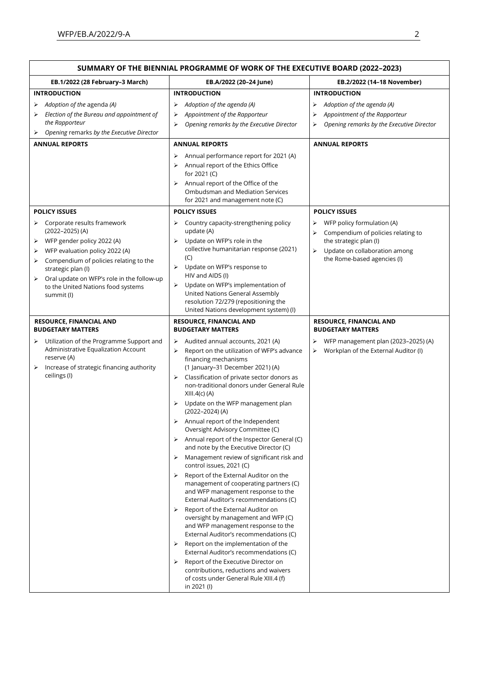| SUMMARY OF THE BIENNIAL PROGRAMME OF WORK OF THE EXECUTIVE BOARD (2022-2023)                                                                                                                                                                                                                   |                                                                                                                                                                                                                                                                                                                                                                                                                                                                                                                                                                                                                                                                                                                                                                                                                                                                                                                                                                                                                                                                                                                                                                |                                                                                                                                                                           |  |
|------------------------------------------------------------------------------------------------------------------------------------------------------------------------------------------------------------------------------------------------------------------------------------------------|----------------------------------------------------------------------------------------------------------------------------------------------------------------------------------------------------------------------------------------------------------------------------------------------------------------------------------------------------------------------------------------------------------------------------------------------------------------------------------------------------------------------------------------------------------------------------------------------------------------------------------------------------------------------------------------------------------------------------------------------------------------------------------------------------------------------------------------------------------------------------------------------------------------------------------------------------------------------------------------------------------------------------------------------------------------------------------------------------------------------------------------------------------------|---------------------------------------------------------------------------------------------------------------------------------------------------------------------------|--|
| EB.1/2022 (28 February-3 March)<br>EB.A/2022 (20-24 June)                                                                                                                                                                                                                                      |                                                                                                                                                                                                                                                                                                                                                                                                                                                                                                                                                                                                                                                                                                                                                                                                                                                                                                                                                                                                                                                                                                                                                                | EB.2/2022 (14-18 November)                                                                                                                                                |  |
| <b>INTRODUCTION</b>                                                                                                                                                                                                                                                                            | <b>INTRODUCTION</b>                                                                                                                                                                                                                                                                                                                                                                                                                                                                                                                                                                                                                                                                                                                                                                                                                                                                                                                                                                                                                                                                                                                                            | <b>INTRODUCTION</b>                                                                                                                                                       |  |
| Adoption of the agenda (A)<br>Election of the Bureau and appointment of<br>⋗<br>the Rapporteur                                                                                                                                                                                                 | Adoption of the agenda (A)<br>➤<br>Appointment of the Rapporteur<br>⋗<br>Opening remarks by the Executive Director<br>⋗                                                                                                                                                                                                                                                                                                                                                                                                                                                                                                                                                                                                                                                                                                                                                                                                                                                                                                                                                                                                                                        | Adoption of the agenda (A)<br>⋗<br>Appointment of the Rapporteur<br>⋗<br>Opening remarks by the Executive Director<br>⋗                                                   |  |
| Opening remarks by the Executive Director<br>⋗                                                                                                                                                                                                                                                 |                                                                                                                                                                                                                                                                                                                                                                                                                                                                                                                                                                                                                                                                                                                                                                                                                                                                                                                                                                                                                                                                                                                                                                |                                                                                                                                                                           |  |
| <b>ANNUAL REPORTS</b>                                                                                                                                                                                                                                                                          | <b>ANNUAL REPORTS</b><br>Annual performance report for 2021 (A)<br>➤<br>Annual report of the Ethics Office<br>for 2021 (C)<br>Annual report of the Office of the<br>➤<br>Ombudsman and Mediation Services<br>for 2021 and management note (C)                                                                                                                                                                                                                                                                                                                                                                                                                                                                                                                                                                                                                                                                                                                                                                                                                                                                                                                  | <b>ANNUAL REPORTS</b>                                                                                                                                                     |  |
| <b>POLICY ISSUES</b>                                                                                                                                                                                                                                                                           | <b>POLICY ISSUES</b>                                                                                                                                                                                                                                                                                                                                                                                                                                                                                                                                                                                                                                                                                                                                                                                                                                                                                                                                                                                                                                                                                                                                           | <b>POLICY ISSUES</b>                                                                                                                                                      |  |
| Corporate results framework<br>➤<br>$(2022 - 2025)$ (A)<br>WFP gender policy 2022 (A)<br>WFP evaluation policy 2022 (A)<br>⋗<br>Compendium of policies relating to the<br>strategic plan (I)<br>Oral update on WFP's role in the follow-up<br>to the United Nations food systems<br>summit (I) | Country capacity-strengthening policy<br>➤<br>update (A)<br>Update on WFP's role in the<br>⋗<br>collective humanitarian response (2021)<br>(C)<br>Update on WFP's response to<br>$\blacktriangleright$<br>HIV and AIDS (I)<br>Update on WFP's implementation of<br>➤<br>United Nations General Assembly<br>resolution 72/279 (repositioning the<br>United Nations development system) (I)                                                                                                                                                                                                                                                                                                                                                                                                                                                                                                                                                                                                                                                                                                                                                                      | WFP policy formulation (A)<br>⋗<br>Compendium of policies relating to<br>⋗<br>the strategic plan (I)<br>Update on collaboration among<br>⋗<br>the Rome-based agencies (I) |  |
| <b>RESOURCE, FINANCIAL AND</b>                                                                                                                                                                                                                                                                 | <b>RESOURCE, FINANCIAL AND</b>                                                                                                                                                                                                                                                                                                                                                                                                                                                                                                                                                                                                                                                                                                                                                                                                                                                                                                                                                                                                                                                                                                                                 | <b>RESOURCE, FINANCIAL AND</b>                                                                                                                                            |  |
| <b>BUDGETARY MATTERS</b>                                                                                                                                                                                                                                                                       | <b>BUDGETARY MATTERS</b>                                                                                                                                                                                                                                                                                                                                                                                                                                                                                                                                                                                                                                                                                                                                                                                                                                                                                                                                                                                                                                                                                                                                       | <b>BUDGETARY MATTERS</b>                                                                                                                                                  |  |
| Utilization of the Programme Support and<br>➤<br>Administrative Equalization Account<br>reserve (A)<br>Increase of strategic financing authority<br>➤<br>ceilings (I)                                                                                                                          | Audited annual accounts, 2021 (A)<br>➤<br>Report on the utilization of WFP's advance<br>⋗<br>financing mechanisms<br>(1 January-31 December 2021) (A)<br>Classification of private sector donors as<br>non-traditional donors under General Rule<br>XIII.4(c) (A)<br>Update on the WFP management plan<br>➤<br>(2022-2024) (A)<br>Annual report of the Independent<br>Oversight Advisory Committee (C)<br>Annual report of the Inspector General (C)<br>➤<br>and note by the Executive Director (C)<br>Management review of significant risk and<br>➤<br>control issues, 2021 (C)<br>Report of the External Auditor on the<br>➤<br>management of cooperating partners (C)<br>and WFP management response to the<br>External Auditor's recommendations (C)<br>Report of the External Auditor on<br>➤<br>oversight by management and WFP (C)<br>and WFP management response to the<br>External Auditor's recommendations (C)<br>Report on the implementation of the<br>➤<br>External Auditor's recommendations (C)<br>Report of the Executive Director on<br>➤<br>contributions, reductions and waivers<br>of costs under General Rule XIII.4 (f)<br>in 2021 (l) | WFP management plan (2023-2025) (A)<br>⋗<br>> Workplan of the External Auditor (I)                                                                                        |  |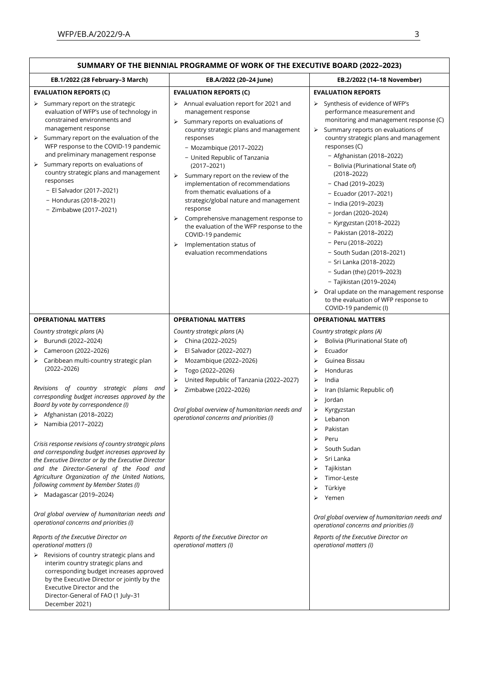| SUMMARY OF THE BIENNIAL PROGRAMME OF WORK OF THE EXECUTIVE BOARD (2022-2023)                                                                                                                                                                                                                                                                                                                                                                                                                                                                                                                                                                                                                                                                                                                                                                                                                                                                                                                                                                                                                                                                  |                                                                                                                                                                                                                                                                                                                                                                                                                                                                                                                                                                                                                                                                                                |                                                                                                                                                                                                                                                                                                                                                                                                                                                                                                                                                                                                                                                                                                                                         |  |
|-----------------------------------------------------------------------------------------------------------------------------------------------------------------------------------------------------------------------------------------------------------------------------------------------------------------------------------------------------------------------------------------------------------------------------------------------------------------------------------------------------------------------------------------------------------------------------------------------------------------------------------------------------------------------------------------------------------------------------------------------------------------------------------------------------------------------------------------------------------------------------------------------------------------------------------------------------------------------------------------------------------------------------------------------------------------------------------------------------------------------------------------------|------------------------------------------------------------------------------------------------------------------------------------------------------------------------------------------------------------------------------------------------------------------------------------------------------------------------------------------------------------------------------------------------------------------------------------------------------------------------------------------------------------------------------------------------------------------------------------------------------------------------------------------------------------------------------------------------|-----------------------------------------------------------------------------------------------------------------------------------------------------------------------------------------------------------------------------------------------------------------------------------------------------------------------------------------------------------------------------------------------------------------------------------------------------------------------------------------------------------------------------------------------------------------------------------------------------------------------------------------------------------------------------------------------------------------------------------------|--|
| EB.1/2022 (28 February-3 March)                                                                                                                                                                                                                                                                                                                                                                                                                                                                                                                                                                                                                                                                                                                                                                                                                                                                                                                                                                                                                                                                                                               | EB.A/2022 (20-24 June)                                                                                                                                                                                                                                                                                                                                                                                                                                                                                                                                                                                                                                                                         | EB.2/2022 (14-18 November)                                                                                                                                                                                                                                                                                                                                                                                                                                                                                                                                                                                                                                                                                                              |  |
| <b>EVALUATION REPORTS (C)</b><br>$\triangleright$ Summary report on the strategic<br>evaluation of WFP's use of technology in<br>constrained environments and<br>management response<br>Summary report on the evaluation of the<br>➤<br>WFP response to the COVID-19 pandemic<br>and preliminary management response<br>Summary reports on evaluations of<br>➤<br>country strategic plans and management<br>responses<br>- El Salvador (2017-2021)<br>- Honduras (2018–2021)<br>- Zimbabwe (2017-2021)                                                                                                                                                                                                                                                                                                                                                                                                                                                                                                                                                                                                                                        | <b>EVALUATION REPORTS (C)</b><br>$\triangleright$ Annual evaluation report for 2021 and<br>management response<br>⋗<br>Summary reports on evaluations of<br>country strategic plans and management<br>responses<br>- Mozambique (2017-2022)<br>- United Republic of Tanzania<br>$(2017 - 2021)$<br>Summary report on the review of the<br>$\blacktriangleright$<br>implementation of recommendations<br>from thematic evaluations of a<br>strategic/global nature and management<br>response<br>$\blacktriangleright$<br>Comprehensive management response to<br>the evaluation of the WFP response to the<br>COVID-19 pandemic<br>Implementation status of<br>⋗<br>evaluation recommendations | <b>EVALUATION REPORTS</b><br>> Synthesis of evidence of WFP's<br>performance measurement and<br>monitoring and management response (C)<br>Summary reports on evaluations of<br>➤<br>country strategic plans and management<br>responses (C)<br>- Afghanistan (2018-2022)<br>- Bolivia (Plurinational State of)<br>$(2018 - 2022)$<br>- Chad (2019-2023)<br>- Ecuador (2017-2021)<br>- India (2019-2023)<br>- Jordan (2020-2024)<br>- Kyrgyzstan (2018-2022)<br>- Pakistan (2018–2022)<br>- Peru (2018-2022)<br>- South Sudan (2018-2021)<br>- Sri Lanka (2018-2022)<br>- Sudan (the) (2019-2023)<br>- Tajikistan (2019-2024)<br>Oral update on the management response<br>to the evaluation of WFP response to<br>COVID-19 pandemic (I) |  |
| <b>OPERATIONAL MATTERS</b><br>Country strategic plans (A)<br>> Burundi (2022-2024)<br>Cameroon (2022-2026)<br>Caribbean multi-country strategic plan<br>➤<br>$(2022 - 2026)$<br>Revisions of country strategic plans and<br>corresponding budget increases approved by the<br>Board by vote by correspondence (I)<br>> Afghanistan (2018-2022)<br>Namibia (2017–2022)<br>Crisis response revisions of country strategic plans<br>and corresponding budget increases approved by<br>the Executive Director or by the Executive Director<br>and the Director-General of the Food and<br>Agriculture Organization of the United Nations,<br>following comment by Member States (I)<br>> Madagascar (2019-2024)<br>Oral global overview of humanitarian needs and<br>operational concerns and priorities (I)<br>Reports of the Executive Director on<br>operational matters (I)<br>$\triangleright$ Revisions of country strategic plans and<br>interim country strategic plans and<br>corresponding budget increases approved<br>by the Executive Director or jointly by the<br>Executive Director and the<br>Director-General of FAO (1 July-31 | <b>OPERATIONAL MATTERS</b><br>Country strategic plans (A)<br>China (2022-2025)<br>⋗<br>El Salvador (2022-2027)<br>⋗<br>Mozambique (2022-2026)<br>⋗<br>Togo (2022-2026)<br>⋗<br>United Republic of Tanzania (2022-2027)<br>⋗<br>Zimbabwe (2022-2026)<br>➤<br>Oral global overview of humanitarian needs and<br>operational concerns and priorities (I)<br>Reports of the Executive Director on<br>operational matters (I)                                                                                                                                                                                                                                                                       | <b>OPERATIONAL MATTERS</b><br>Country strategic plans (A)<br>Bolivia (Plurinational State of)<br>⋗<br>Ecuador<br>⋗<br>Guinea Bissau<br>⋗<br>Honduras<br>⋗<br>India<br>⋗<br>Iran (Islamic Republic of)<br>➤<br>Jordan<br>⋗<br>Kyrgyzstan<br>⋗<br>Lebanon<br>Pakistan<br>Peru<br>South Sudan<br>Sri Lanka<br>⋗<br>Tajikistan<br>⋗<br>Timor-Leste<br>Türkiye<br>Yemen<br>⋗<br>Oral global overview of humanitarian needs and<br>operational concerns and priorities (I)<br>Reports of the Executive Director on<br>operational matters (I)                                                                                                                                                                                                 |  |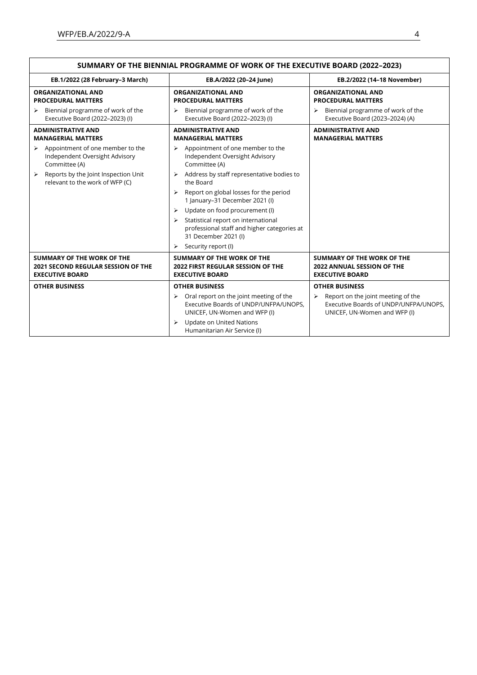| SUMMARY OF THE BIENNIAL PROGRAMME OF WORK OF THE EXECUTIVE BOARD (2022-2023)                             |                                                                                                                                                                                                              |                                                                                                                                      |  |
|----------------------------------------------------------------------------------------------------------|--------------------------------------------------------------------------------------------------------------------------------------------------------------------------------------------------------------|--------------------------------------------------------------------------------------------------------------------------------------|--|
| EB.1/2022 (28 February-3 March)                                                                          | EB.A/2022 (20-24 June)<br>EB.2/2022 (14-18 November)                                                                                                                                                         |                                                                                                                                      |  |
| <b>ORGANIZATIONAL AND</b><br><b>PROCEDURAL MATTERS</b>                                                   | <b>ORGANIZATIONAL AND</b><br><b>PROCEDURAL MATTERS</b>                                                                                                                                                       | <b>ORGANIZATIONAL AND</b><br><b>PROCEDURAL MATTERS</b>                                                                               |  |
| Biennial programme of work of the<br>➤<br>Executive Board (2022-2023) (I)                                | Biennial programme of work of the<br>⋗<br>Executive Board (2022-2023) (I)                                                                                                                                    | Biennial programme of work of the<br>⋗<br>Executive Board (2023-2024) (A)                                                            |  |
| <b>ADMINISTRATIVE AND</b><br><b>MANAGERIAL MATTERS</b>                                                   | <b>ADMINISTRATIVE AND</b><br><b>MANAGERIAL MATTERS</b>                                                                                                                                                       | <b>ADMINISTRATIVE AND</b><br><b>MANAGERIAL MATTERS</b>                                                                               |  |
| Appointment of one member to the<br>➤<br>Independent Oversight Advisory<br>Committee (A)                 | Appointment of one member to the<br>⋗<br>Independent Oversight Advisory<br>Committee (A)                                                                                                                     |                                                                                                                                      |  |
| Reports by the Joint Inspection Unit<br>➤<br>relevant to the work of WFP (C)                             | Address by staff representative bodies to<br>➤<br>the Board                                                                                                                                                  |                                                                                                                                      |  |
|                                                                                                          | Report on global losses for the period<br>$\blacktriangleright$<br>1 January-31 December 2021 (I)                                                                                                            |                                                                                                                                      |  |
|                                                                                                          | Update on food procurement (I)<br>$\blacktriangleright$                                                                                                                                                      |                                                                                                                                      |  |
|                                                                                                          | Statistical report on international<br>$\blacktriangleright$<br>professional staff and higher categories at<br>31 December 2021 (I)                                                                          |                                                                                                                                      |  |
|                                                                                                          | Security report (I)<br>$\blacktriangleright$                                                                                                                                                                 |                                                                                                                                      |  |
| <b>SUMMARY OF THE WORK OF THE</b><br><b>2021 SECOND REGULAR SESSION OF THE</b><br><b>EXECUTIVE BOARD</b> | <b>SUMMARY OF THE WORK OF THE</b><br><b>2022 FIRST REGULAR SESSION OF THE</b><br><b>EXECUTIVE BOARD</b>                                                                                                      | <b>SUMMARY OF THE WORK OF THE</b><br><b>2022 ANNUAL SESSION OF THE</b><br><b>EXECUTIVE BOARD</b>                                     |  |
| <b>OTHER BUSINESS</b>                                                                                    | <b>OTHER BUSINESS</b>                                                                                                                                                                                        | <b>OTHER BUSINESS</b>                                                                                                                |  |
|                                                                                                          | Oral report on the joint meeting of the<br>$\blacktriangleright$<br>Executive Boards of UNDP/UNFPA/UNOPS,<br>UNICEF, UN-Women and WFP (I)<br><b>Update on United Nations</b><br>Humanitarian Air Service (I) | Report on the joint meeting of the<br>$\blacktriangleright$<br>Executive Boards of UNDP/UNFPA/UNOPS,<br>UNICEF, UN-Women and WFP (I) |  |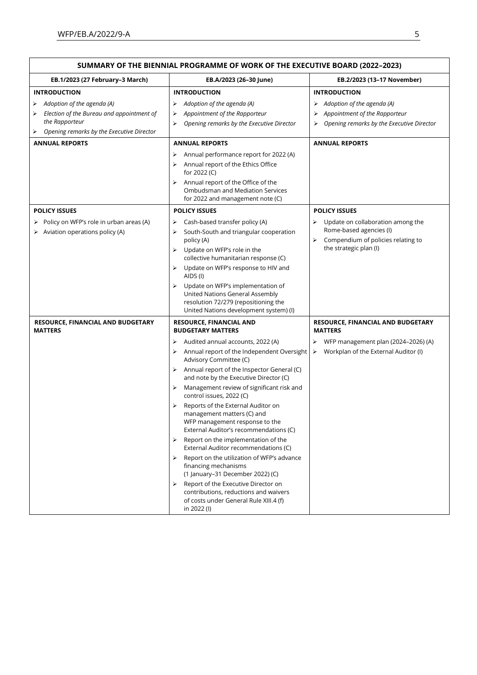| SUMMARY OF THE BIENNIAL PROGRAMME OF WORK OF THE EXECUTIVE BOARD (2022-2023)                                                                                            |                                                                                                                                                                                                                                                                                                                                                                                                                                                                                                                                                                                                                                                                                                                                                                                                                                                                                                              |                                                                                                                                                           |  |  |
|-------------------------------------------------------------------------------------------------------------------------------------------------------------------------|--------------------------------------------------------------------------------------------------------------------------------------------------------------------------------------------------------------------------------------------------------------------------------------------------------------------------------------------------------------------------------------------------------------------------------------------------------------------------------------------------------------------------------------------------------------------------------------------------------------------------------------------------------------------------------------------------------------------------------------------------------------------------------------------------------------------------------------------------------------------------------------------------------------|-----------------------------------------------------------------------------------------------------------------------------------------------------------|--|--|
| EB.1/2023 (27 February-3 March)                                                                                                                                         | EB.A/2023 (26-30 June)                                                                                                                                                                                                                                                                                                                                                                                                                                                                                                                                                                                                                                                                                                                                                                                                                                                                                       | EB.2/2023 (13-17 November)                                                                                                                                |  |  |
| <b>INTRODUCTION</b><br>Adoption of the agenda (A)<br>Election of the Bureau and appointment of<br>⋗<br>the Rapporteur<br>Opening remarks by the Executive Director<br>➤ | <b>INTRODUCTION</b><br>Adoption of the agenda (A)<br>➤<br>Appointment of the Rapporteur<br>➤<br>Opening remarks by the Executive Director<br>⋗                                                                                                                                                                                                                                                                                                                                                                                                                                                                                                                                                                                                                                                                                                                                                               | <b>INTRODUCTION</b><br>$\triangleright$ Adoption of the agenda (A)<br>Appointment of the Rapporteur<br>Opening remarks by the Executive Director          |  |  |
| <b>ANNUAL REPORTS</b>                                                                                                                                                   | <b>ANNUAL REPORTS</b><br>Annual performance report for 2022 (A)<br>➤<br>> Annual report of the Ethics Office<br>for 2022 (C)<br>Annual report of the Office of the<br>⋗<br>Ombudsman and Mediation Services<br>for 2022 and management note (C)                                                                                                                                                                                                                                                                                                                                                                                                                                                                                                                                                                                                                                                              | <b>ANNUAL REPORTS</b>                                                                                                                                     |  |  |
| <b>POLICY ISSUES</b><br>Policy on WFP's role in urban areas (A)<br>Aviation operations policy (A)                                                                       | <b>POLICY ISSUES</b><br>Cash-based transfer policy (A)<br>⋗<br>South-South and triangular cooperation<br>policy (A)<br>$\blacktriangleright$<br>Update on WFP's role in the<br>collective humanitarian response (C)<br>Update on WFP's response to HIV and<br>$\blacktriangleright$<br>AIDS (I)<br>Update on WFP's implementation of<br>≻<br>United Nations General Assembly<br>resolution 72/279 (repositioning the<br>United Nations development system) (I)                                                                                                                                                                                                                                                                                                                                                                                                                                               | <b>POLICY ISSUES</b><br>Update on collaboration among the<br>Rome-based agencies (I)<br>Compendium of policies relating to<br>⋗<br>the strategic plan (I) |  |  |
| RESOURCE, FINANCIAL AND BUDGETARY<br><b>MATTERS</b>                                                                                                                     | <b>RESOURCE, FINANCIAL AND</b><br><b>BUDGETARY MATTERS</b><br>Audited annual accounts, 2022 (A)<br>➤<br>Annual report of the Independent Oversight<br>Advisory Committee (C)<br>$\triangleright$ Annual report of the Inspector General (C)<br>and note by the Executive Director (C)<br>Management review of significant risk and<br>➤<br>control issues, 2022 (C)<br>Reports of the External Auditor on<br>management matters (C) and<br>WFP management response to the<br>External Auditor's recommendations (C)<br>Report on the implementation of the<br>$\blacktriangleright$<br>External Auditor recommendations (C)<br>Report on the utilization of WFP's advance<br>≻<br>financing mechanisms<br>(1 January-31 December 2022) (C)<br>Report of the Executive Director on<br>$\blacktriangleright$<br>contributions, reductions and waivers<br>of costs under General Rule XIII.4 (f)<br>in 2022 (l) | RESOURCE, FINANCIAL AND BUDGETARY<br><b>MATTERS</b><br>WFP management plan (2024–2026) (A)<br>Workplan of the External Auditor (I)<br>➤                   |  |  |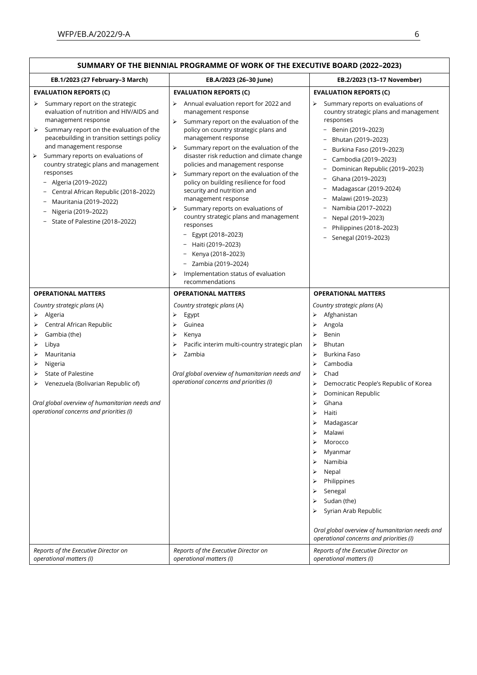| SUMMARY OF THE BIENNIAL PROGRAMME OF WORK OF THE EXECUTIVE BOARD (2022-2023)                                                                                                                                                                                                                                                                                                                                                                                                                                            |                                                                                                                                                                                                                                                                                                                                                                                                                                                                                                                                                                                                                                                                                                                                                                            |                                                                                                                                                                                                                                                                                                                                                                                                                                                                                            |  |  |
|-------------------------------------------------------------------------------------------------------------------------------------------------------------------------------------------------------------------------------------------------------------------------------------------------------------------------------------------------------------------------------------------------------------------------------------------------------------------------------------------------------------------------|----------------------------------------------------------------------------------------------------------------------------------------------------------------------------------------------------------------------------------------------------------------------------------------------------------------------------------------------------------------------------------------------------------------------------------------------------------------------------------------------------------------------------------------------------------------------------------------------------------------------------------------------------------------------------------------------------------------------------------------------------------------------------|--------------------------------------------------------------------------------------------------------------------------------------------------------------------------------------------------------------------------------------------------------------------------------------------------------------------------------------------------------------------------------------------------------------------------------------------------------------------------------------------|--|--|
| EB.1/2023 (27 February-3 March)                                                                                                                                                                                                                                                                                                                                                                                                                                                                                         | EB.A/2023 (26-30 June)                                                                                                                                                                                                                                                                                                                                                                                                                                                                                                                                                                                                                                                                                                                                                     | EB.2/2023 (13-17 November)                                                                                                                                                                                                                                                                                                                                                                                                                                                                 |  |  |
| <b>EVALUATION REPORTS (C)</b><br>Summary report on the strategic<br>➤<br>evaluation of nutrition and HIV/AIDS and<br>management response<br>Summary report on the evaluation of the<br>➤<br>peacebuilding in transition settings policy<br>and management response<br>Summary reports on evaluations of<br>⋗<br>country strategic plans and management<br>responses<br>- Algeria (2019-2022)<br>Central African Republic (2018-2022)<br>Mauritania (2019-2022)<br>Nigeria (2019-2022)<br>State of Palestine (2018-2022) | <b>EVALUATION REPORTS (C)</b><br>Annual evaluation report for 2022 and<br>⋗<br>management response<br>Summary report on the evaluation of the<br>⋗<br>policy on country strategic plans and<br>management response<br>Summary report on the evaluation of the<br>⋗<br>disaster risk reduction and climate change<br>policies and management response<br>Summary report on the evaluation of the<br>⋗<br>policy on building resilience for food<br>security and nutrition and<br>management response<br>Summary reports on evaluations of<br>⋗<br>country strategic plans and management<br>responses<br>Egypt (2018-2023)<br>Haiti (2019-2023)<br>Kenya (2018-2023)<br>$\overline{a}$<br>Zambia (2019-2024)<br>Implementation status of evaluation<br>⋗<br>recommendations | <b>EVALUATION REPORTS (C)</b><br>Summary reports on evaluations of<br>⋗<br>country strategic plans and management<br>responses<br>- Benin (2019-2023)<br>Bhutan (2019-2023)<br>Burkina Faso (2019-2023)<br>Cambodia (2019-2023)<br>$\overline{\phantom{0}}$<br>Dominican Republic (2019-2023)<br>-<br>Ghana (2019-2023)<br>-<br>Madagascar (2019-2024)<br>Malawi (2019-2023)<br>-<br>- Namibia (2017-2022)<br>- Nepal (2019-2023)<br>- Philippines (2018-2023)<br>- Senegal (2019-2023)    |  |  |
| Country strategic plans (A)<br>Algeria<br>➤<br>Central African Republic<br>⋗<br>Gambia (the)<br>⋗<br>Libya<br>⋗<br>Mauritania<br>⋗<br>Nigeria<br>➤<br>State of Palestine<br>⋗<br>Venezuela (Bolivarian Republic of)<br>➤<br>Oral global overview of humanitarian needs and<br>operational concerns and priorities (I)                                                                                                                                                                                                   | Country strategic plans (A)<br>Egypt<br>⋗<br>Guinea<br>⋗<br>⋗<br>Kenya<br>Pacific interim multi-country strategic plan<br>⋗<br>Zambia<br>⋗<br>Oral global overview of humanitarian needs and<br>operational concerns and priorities (I)                                                                                                                                                                                                                                                                                                                                                                                                                                                                                                                                    | Country strategic plans (A)<br>Afghanistan<br>⋗<br>Angola<br>➤<br>Benin<br>⋗<br>Bhutan<br>➤<br>Burkina Faso<br>➤<br>Cambodia<br>➤<br>Chad<br>➤<br>Democratic People's Republic of Korea<br>➤<br>Dominican Republic<br>➤<br>Ghana<br>⋗<br>⋗<br>Haiti<br>Madagascar<br>➤<br>Malawi<br>⋗<br>Morocco<br>⋗<br>Myanmar<br>⋗<br>Namibia<br>➤<br>Nepal<br>➤<br>Philippines<br>⋗<br>Senegal<br>⋗<br>Sudan (the)<br>⋗<br>Syrian Arab Republic<br>⋗<br>Oral global overview of humanitarian needs and |  |  |
| Reports of the Executive Director on<br>operational matters (I)                                                                                                                                                                                                                                                                                                                                                                                                                                                         | Reports of the Executive Director on<br>operational matters (I)                                                                                                                                                                                                                                                                                                                                                                                                                                                                                                                                                                                                                                                                                                            | operational concerns and priorities (I)<br>Reports of the Executive Director on<br>operational matters (I)                                                                                                                                                                                                                                                                                                                                                                                 |  |  |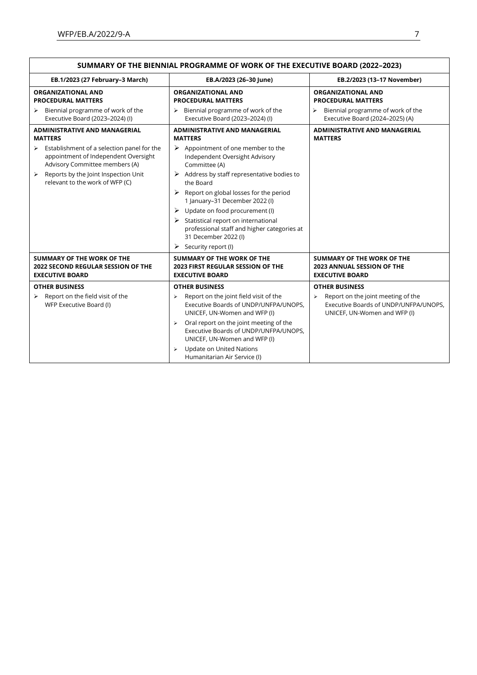| SUMMARY OF THE BIENNIAL PROGRAMME OF WORK OF THE EXECUTIVE BOARD (2022-2023)                                              |                                                                                                                                                                                                                                                                                                                                                                            |                                                                                                                                      |  |
|---------------------------------------------------------------------------------------------------------------------------|----------------------------------------------------------------------------------------------------------------------------------------------------------------------------------------------------------------------------------------------------------------------------------------------------------------------------------------------------------------------------|--------------------------------------------------------------------------------------------------------------------------------------|--|
| EB.1/2023 (27 February-3 March)                                                                                           | EB.A/2023 (26-30 June)                                                                                                                                                                                                                                                                                                                                                     | EB.2/2023 (13-17 November)                                                                                                           |  |
| <b>ORGANIZATIONAL AND</b><br><b>ORGANIZATIONAL AND</b><br><b>PROCEDURAL MATTERS</b><br><b>PROCEDURAL MATTERS</b>          |                                                                                                                                                                                                                                                                                                                                                                            | <b>ORGANIZATIONAL AND</b><br><b>PROCEDURAL MATTERS</b>                                                                               |  |
| Biennial programme of work of the<br>⋗<br>Executive Board (2023-2024) (I)                                                 | Biennial programme of work of the<br>➤<br>Executive Board (2023-2024) (I)                                                                                                                                                                                                                                                                                                  | Biennial programme of work of the<br>⋗<br>Executive Board (2024-2025) (A)                                                            |  |
| <b>ADMINISTRATIVE AND MANAGERIAL</b><br><b>MATTERS</b>                                                                    | <b>ADMINISTRATIVE AND MANAGERIAL</b><br><b>MATTERS</b>                                                                                                                                                                                                                                                                                                                     | <b>ADMINISTRATIVE AND MANAGERIAL</b><br><b>MATTERS</b>                                                                               |  |
| Establishment of a selection panel for the<br>➤<br>appointment of Independent Oversight<br>Advisory Committee members (A) | $\triangleright$ Appointment of one member to the<br>Independent Oversight Advisory<br>Committee (A)                                                                                                                                                                                                                                                                       |                                                                                                                                      |  |
| Reports by the Joint Inspection Unit<br>relevant to the work of WFP (C)                                                   | Address by staff representative bodies to<br>➤<br>the Board                                                                                                                                                                                                                                                                                                                |                                                                                                                                      |  |
|                                                                                                                           | Report on global losses for the period<br>➤<br>1 January-31 December 2022 (I)                                                                                                                                                                                                                                                                                              |                                                                                                                                      |  |
|                                                                                                                           | $\triangleright$ Update on food procurement (I)                                                                                                                                                                                                                                                                                                                            |                                                                                                                                      |  |
|                                                                                                                           | Statistical report on international<br>professional staff and higher categories at<br>31 December 2022 (I)                                                                                                                                                                                                                                                                 |                                                                                                                                      |  |
|                                                                                                                           | $\triangleright$ Security report (I)                                                                                                                                                                                                                                                                                                                                       |                                                                                                                                      |  |
| <b>SUMMARY OF THE WORK OF THE</b><br><b>2022 SECOND REGULAR SESSION OF THE</b><br><b>EXECUTIVE BOARD</b>                  | <b>SUMMARY OF THE WORK OF THE</b><br><b>2023 FIRST REGULAR SESSION OF THE</b><br><b>EXECUTIVE BOARD</b>                                                                                                                                                                                                                                                                    | <b>SUMMARY OF THE WORK OF THE</b><br><b>2023 ANNUAL SESSION OF THE</b><br><b>EXECUTIVE BOARD</b>                                     |  |
| <b>OTHER BUSINESS</b>                                                                                                     | <b>OTHER BUSINESS</b>                                                                                                                                                                                                                                                                                                                                                      | <b>OTHER BUSINESS</b>                                                                                                                |  |
| Report on the field visit of the<br>WFP Executive Board (I)                                                               | Report on the joint field visit of the<br>$\blacktriangleright$<br>Executive Boards of UNDP/UNFPA/UNOPS,<br>UNICEF, UN-Women and WFP (I)<br>Oral report on the joint meeting of the<br>$\blacktriangleright$<br>Executive Boards of UNDP/UNFPA/UNOPS.<br>UNICEF, UN-Women and WFP (I)<br>Update on United Nations<br>$\blacktriangleright$<br>Humanitarian Air Service (I) | $\blacktriangleright$<br>Report on the joint meeting of the<br>Executive Boards of UNDP/UNFPA/UNOPS,<br>UNICEF, UN-Women and WFP (I) |  |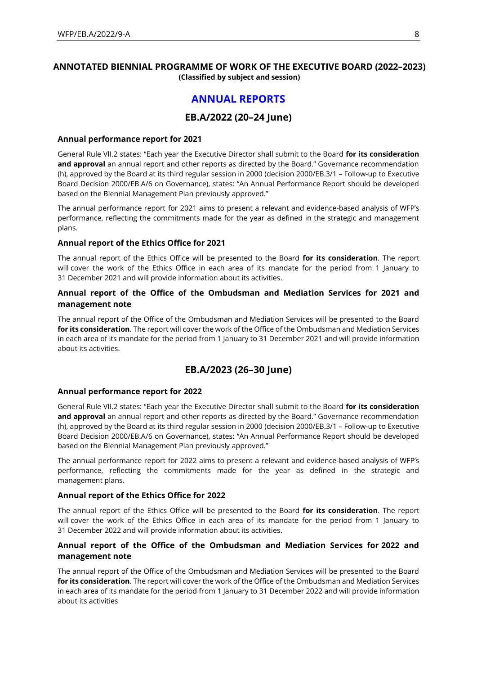## **ANNOTATED BIENNIAL PROGRAMME OF WORK OF THE EXECUTIVE BOARD (2022–2023) (Classified by subject and session)**

# **ANNUAL REPORTS**

## **EB.A/2022 (20–24 June)**

#### **Annual performance report for 2021**

General Rule VII.2 states: "Each year the Executive Director shall submit to the Board **for its consideration and approval** an annual report and other reports as directed by the Board." Governance recommendation (h), approved by the Board at its third regular session in 2000 (decision 2000/EB.3/1 – Follow-up to Executive Board Decision 2000/EB.A/6 on Governance), states: "An Annual Performance Report should be developed based on the Biennial Management Plan previously approved."

The annual performance report for 2021 aims to present a relevant and evidence-based analysis of WFP's performance, reflecting the commitments made for the year as defined in the strategic and management plans.

#### **Annual report of the Ethics Office for 2021**

The annual report of the Ethics Office will be presented to the Board **for its consideration**. The report will cover the work of the Ethics Office in each area of its mandate for the period from 1 January to 31 December 2021 and will provide information about its activities.

### **Annual report of the Office of the Ombudsman and Mediation Services for 2021 and management note**

The annual report of the Office of the Ombudsman and Mediation Services will be presented to the Board **for its consideration**. The report will cover the work of the Office of the Ombudsman and Mediation Services in each area of its mandate for the period from 1 January to 31 December 2021 and will provide information about its activities.

# **EB.A/2023 (26–30 June)**

#### **Annual performance report for 2022**

General Rule VII.2 states: "Each year the Executive Director shall submit to the Board **for its consideration and approval** an annual report and other reports as directed by the Board." Governance recommendation (h), approved by the Board at its third regular session in 2000 (decision 2000/EB.3/1 – Follow-up to Executive Board Decision 2000/EB.A/6 on Governance), states: "An Annual Performance Report should be developed based on the Biennial Management Plan previously approved."

The annual performance report for 2022 aims to present a relevant and evidence-based analysis of WFP's performance, reflecting the commitments made for the year as defined in the strategic and management plans.

#### **Annual report of the Ethics Office for 2022**

The annual report of the Ethics Office will be presented to the Board **for its consideration**. The report will cover the work of the Ethics Office in each area of its mandate for the period from 1 January to 31 December 2022 and will provide information about its activities.

### **Annual report of the Office of the Ombudsman and Mediation Services for 2022 and management note**

The annual report of the Office of the Ombudsman and Mediation Services will be presented to the Board **for its consideration**. The report will cover the work of the Office of the Ombudsman and Mediation Services in each area of its mandate for the period from 1 January to 31 December 2022 and will provide information about its activities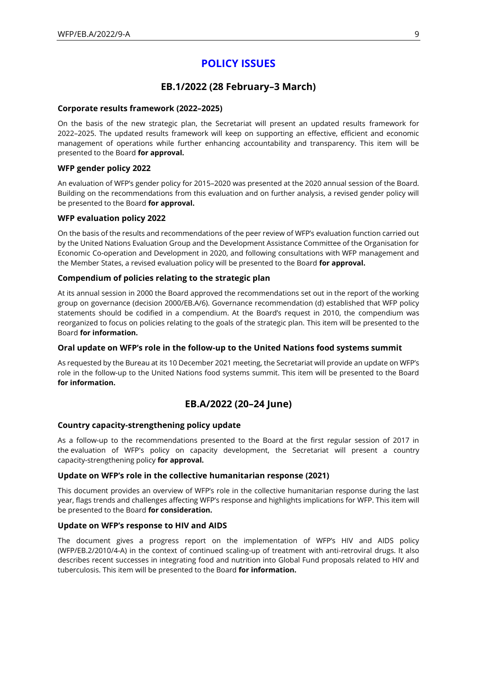# **POLICY ISSUES**

## **EB.1/2022 (28 February–3 March)**

#### **Corporate results framework (2022–2025)**

On the basis of the new strategic plan, the Secretariat will present an updated results framework for 2022–2025. The updated results framework will keep on supporting an effective, efficient and economic management of operations while further enhancing accountability and transparency. This item will be presented to the Board **for approval.**

#### **WFP gender policy 2022**

An evaluation of WFP's gender policy for 2015–2020 was presented at the 2020 annual session of the Board. Building on the recommendations from this evaluation and on further analysis, a revised gender policy will be presented to the Board **for approval.**

#### **WFP evaluation policy 2022**

On the basis of the results and recommendations of the peer review of WFP's evaluation function carried out by the United Nations Evaluation Group and the Development Assistance Committee of the Organisation for Economic Co-operation and Development in 2020, and following consultations with WFP management and the Member States, a revised evaluation policy will be presented to the Board **for approval.**

#### **Compendium of policies relating to the strategic plan**

At its annual session in 2000 the Board approved the recommendations set out in the report of the working group on governance (decision 2000/EB.A/6). Governance recommendation (d) established that WFP policy statements should be codified in a compendium. At the Board's request in 2010, the compendium was reorganized to focus on policies relating to the goals of the strategic plan. This item will be presented to the Board **for information.**

#### **Oral update on WFP's role in the follow-up to the United Nations food systems summit**

As requested by the Bureau at its 10 December 2021 meeting, the Secretariat will provide an update on WFP's role in the follow-up to the United Nations food systems summit. This item will be presented to the Board **for information.**

# **EB.A/2022 (20–24 June)**

#### **Country capacity-strengthening policy update**

As a follow-up to the recommendations presented to the Board at the first regular session of 2017 in the evaluation of WFP's policy on capacity development, the Secretariat will present a country capacity-strengthening policy **for approval.**

#### **Update on WFP's role in the collective humanitarian response (2021)**

This document provides an overview of WFP's role in the collective humanitarian response during the last year, flags trends and challenges affecting WFP's response and highlights implications for WFP. This item will be presented to the Board **for consideration.**

#### **Update on WFP's response to HIV and AIDS**

The document gives a progress report on the implementation of WFP's HIV and AIDS policy (WFP/EB.2/2010/4-A) in the context of continued scaling-up of treatment with anti-retroviral drugs. It also describes recent successes in integrating food and nutrition into Global Fund proposals related to HIV and tuberculosis. This item will be presented to the Board **for information.**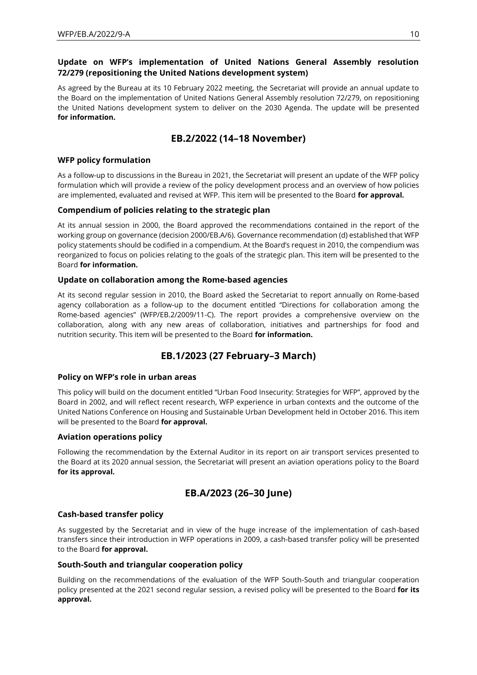## **Update on WFP's implementation of United Nations General Assembly resolution 72/279 (repositioning the United Nations development system)**

As agreed by the Bureau at its 10 February 2022 meeting, the Secretariat will provide an annual update to the Board on the implementation of United Nations General Assembly resolution 72/279, on repositioning the United Nations development system to deliver on the 2030 Agenda. The update will be presented **for information.** 

# **EB.2/2022 (14–18 November)**

#### **WFP policy formulation**

As a follow-up to discussions in the Bureau in 2021, the Secretariat will present an update of the WFP policy formulation which will provide a review of the policy development process and an overview of how policies are implemented, evaluated and revised at WFP. This item will be presented to the Board **for approval.**

#### **Compendium of policies relating to the strategic plan**

At its annual session in 2000, the Board approved the recommendations contained in the report of the working group on governance (decision 2000/EB.A/6). Governance recommendation (d) established that WFP policy statements should be codified in a compendium. At the Board's request in 2010, the compendium was reorganized to focus on policies relating to the goals of the strategic plan. This item will be presented to the Board **for information.**

#### **Update on collaboration among the Rome-based agencies**

At its second regular session in 2010, the Board asked the Secretariat to report annually on Rome-based agency collaboration as a follow-up to the document entitled "Directions for collaboration among the Rome-based agencies" (WFP/EB.2/2009/11-C). The report provides a comprehensive overview on the collaboration, along with any new areas of collaboration, initiatives and partnerships for food and nutrition security. This item will be presented to the Board **for information.**

# **EB.1/2023 (27 February–3 March)**

#### **Policy on WFP's role in urban areas**

This policy will build on the document entitled "Urban Food Insecurity: Strategies for WFP", approved by the Board in 2002, and will reflect recent research, WFP experience in urban contexts and the outcome of the United Nations Conference on Housing and Sustainable Urban Development held in October 2016. This item will be presented to the Board **for approval.**

#### **Aviation operations policy**

Following the recommendation by the External Auditor in its report on air transport services presented to the Board at its 2020 annual session, the Secretariat will present an aviation operations policy to the Board **for its approval.**

# **EB.A/2023 (26–30 June)**

#### **Cash-based transfer policy**

As suggested by the Secretariat and in view of the huge increase of the implementation of cash-based transfers since their introduction in WFP operations in 2009, a cash-based transfer policy will be presented to the Board **for approval.**

#### **South-South and triangular cooperation policy**

Building on the recommendations of the evaluation of the WFP South-South and triangular cooperation policy presented at the 2021 second regular session, a revised policy will be presented to the Board **for its approval.**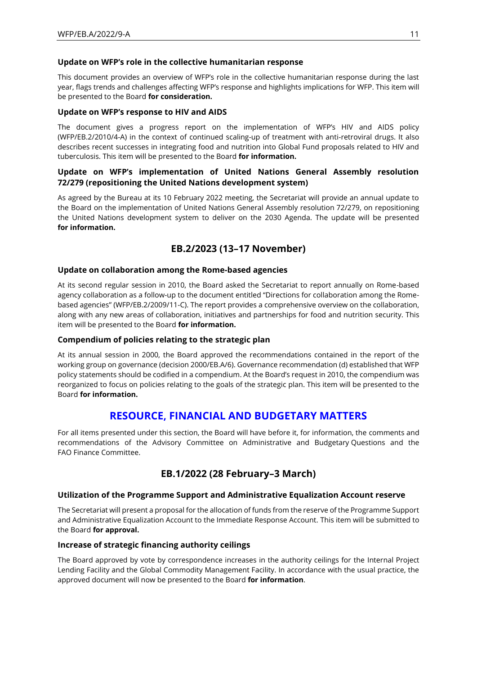#### **Update on WFP's role in the collective humanitarian response**

This document provides an overview of WFP's role in the collective humanitarian response during the last year, flags trends and challenges affecting WFP's response and highlights implications for WFP. This item will be presented to the Board **for consideration.**

#### **Update on WFP's response to HIV and AIDS**

The document gives a progress report on the implementation of WFP's HIV and AIDS policy (WFP/EB.2/2010/4-A) in the context of continued scaling-up of treatment with anti-retroviral drugs. It also describes recent successes in integrating food and nutrition into Global Fund proposals related to HIV and tuberculosis. This item will be presented to the Board **for information.**

### **Update on WFP's implementation of United Nations General Assembly resolution 72/279 (repositioning the United Nations development system)**

As agreed by the Bureau at its 10 February 2022 meeting, the Secretariat will provide an annual update to the Board on the implementation of United Nations General Assembly resolution 72/279, on repositioning the United Nations development system to deliver on the 2030 Agenda. The update will be presented **for information.** 

# **EB.2/2023 (13–17 November)**

### **Update on collaboration among the Rome-based agencies**

At its second regular session in 2010, the Board asked the Secretariat to report annually on Rome-based agency collaboration as a follow-up to the document entitled "Directions for collaboration among the Romebased agencies" (WFP/EB.2/2009/11-C). The report provides a comprehensive overview on the collaboration, along with any new areas of collaboration, initiatives and partnerships for food and nutrition security. This item will be presented to the Board **for information.**

#### **Compendium of policies relating to the strategic plan**

At its annual session in 2000, the Board approved the recommendations contained in the report of the working group on governance (decision 2000/EB.A/6). Governance recommendation (d) established that WFP policy statements should be codified in a compendium. At the Board's request in 2010, the compendium was reorganized to focus on policies relating to the goals of the strategic plan. This item will be presented to the Board **for information.**

# **RESOURCE, FINANCIAL AND BUDGETARY MATTERS**

For all items presented under this section, the Board will have before it, for information, the comments and recommendations of the Advisory Committee on Administrative and Budgetary Questions and the FAO Finance Committee.

# **EB.1/2022 (28 February–3 March)**

#### **Utilization of the Programme Support and Administrative Equalization Account reserve**

The Secretariat will present a proposal for the allocation of funds from the reserve of the Programme Support and Administrative Equalization Account to the Immediate Response Account. This item will be submitted to the Board **for approval.**

#### **Increase of strategic financing authority ceilings**

The Board approved by vote by correspondence increases in the authority ceilings for the Internal Project Lending Facility and the Global Commodity Management Facility. In accordance with the usual practice, the approved document will now be presented to the Board **for information**.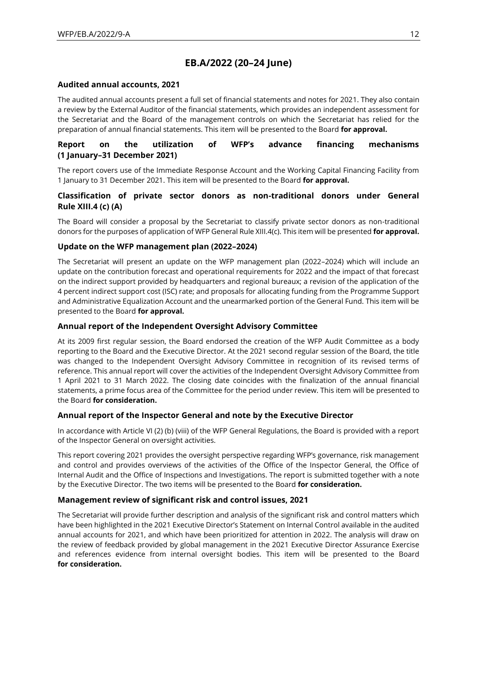# **EB.A/2022 (20–24 June)**

#### **Audited annual accounts, 2021**

The audited annual accounts present a full set of financial statements and notes for 2021. They also contain a review by the External Auditor of the financial statements, which provides an independent assessment for the Secretariat and the Board of the management controls on which the Secretariat has relied for the preparation of annual financial statements. This item will be presented to the Board **for approval.**

#### **Report on the utilization of WFP's advance financing mechanisms (1 January–31 December 2021)**

The report covers use of the Immediate Response Account and the Working Capital Financing Facility from 1 January to 31 December 2021. This item will be presented to the Board **for approval.**

### **Classification of private sector donors as non-traditional donors under General Rule XIII.4 (c) (A)**

The Board will consider a proposal by the Secretariat to classify private sector donors as non-traditional donors for the purposes of application of WFP General Rule XIII.4(c). This item will be presented **for approval.**

#### **Update on the WFP management plan (2022–2024)**

The Secretariat will present an update on the WFP management plan (2022–2024) which will include an update on the contribution forecast and operational requirements for 2022 and the impact of that forecast on the indirect support provided by headquarters and regional bureaux; a revision of the application of the 4 percent indirect support cost (ISC) rate; and proposals for allocating funding from the Programme Support and Administrative Equalization Account and the unearmarked portion of the General Fund. This item will be presented to the Board **for approval.**

#### **Annual report of the Independent Oversight Advisory Committee**

At its 2009 first regular session, the Board endorsed the creation of the WFP Audit Committee as a body reporting to the Board and the Executive Director. At the 2021 second regular session of the Board, the title was changed to the Independent Oversight Advisory Committee in recognition of its revised terms of reference. This annual report will cover the activities of the Independent Oversight Advisory Committee from 1 April 2021 to 31 March 2022. The closing date coincides with the finalization of the annual financial statements, a prime focus area of the Committee for the period under review. This item will be presented to the Board **for consideration.**

#### **Annual report of the Inspector General and note by the Executive Director**

In accordance with Article VI (2) (b) (viii) of the WFP General Regulations, the Board is provided with a report of the Inspector General on oversight activities.

This report covering 2021 provides the oversight perspective regarding WFP's governance, risk management and control and provides overviews of the activities of the Office of the Inspector General, the Office of Internal Audit and the Office of Inspections and Investigations. The report is submitted together with a note by the Executive Director. The two items will be presented to the Board **for consideration.**

#### **Management review of significant risk and control issues, 2021**

The Secretariat will provide further description and analysis of the significant risk and control matters which have been highlighted in the 2021 Executive Director's Statement on Internal Control available in the audited annual accounts for 2021, and which have been prioritized for attention in 2022. The analysis will draw on the review of feedback provided by global management in the 2021 Executive Director Assurance Exercise and references evidence from internal oversight bodies. This item will be presented to the Board **for consideration.**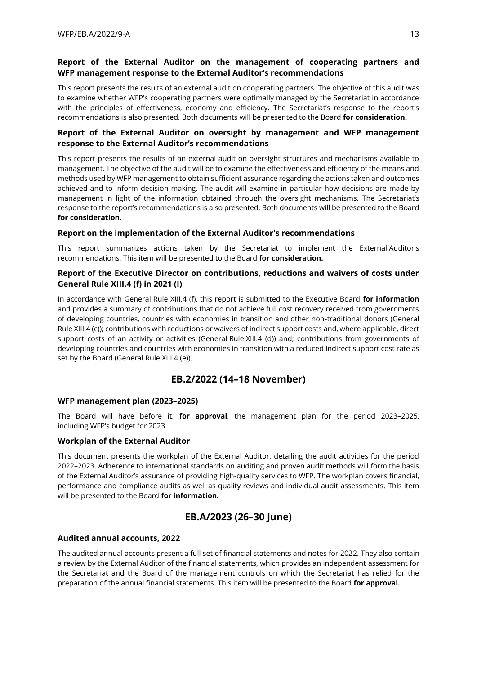### **Report of the External Auditor on the management of cooperating partners and WFP management response to the External Auditor's recommendations**

This report presents the results of an external audit on cooperating partners. The objective of this audit was to examine whether WFP's cooperating partners were optimally managed by the Secretariat in accordance with the principles of effectiveness, economy and efficiency. The Secretariat's response to the report's recommendations is also presented. Both documents will be presented to the Board **for consideration.**

### **Report of the External Auditor on oversight by management and WFP management response to the External Auditor's recommendations**

This report presents the results of an external audit on oversight structures and mechanisms available to management. The objective of the audit will be to examine the effectiveness and efficiency of the means and methods used by WFP management to obtain sufficient assurance regarding the actions taken and outcomes achieved and to inform decision making. The audit will examine in particular how decisions are made by management in light of the information obtained through the oversight mechanisms. The Secretariat's response to the report's recommendations is also presented. Both documents will be presented to the Board **for consideration.**

### **Report on the implementation of the External Auditor's recommendations**

This report summarizes actions taken by the Secretariat to implement the External Auditor's recommendations. This item will be presented to the Board **for consideration.**

### **Report of the Executive Director on contributions, reductions and waivers of costs under General Rule XIII.4 (f) in 2021 (I)**

In accordance with General Rule XIII.4 (f), this report is submitted to the Executive Board **for information** and provides a summary of contributions that do not achieve full cost recovery received from governments of developing countries, countries with economies in transition and other non-traditional donors (General Rule XIII.4 (c)); contributions with reductions or waivers of indirect support costs and, where applicable, direct support costs of an activity or activities (General Rule XIII.4 (d)) and; contributions from governments of developing countries and countries with economies in transition with a reduced indirect support cost rate as set by the Board (General Rule XIII.4 (e)).

# **EB.2/2022 (14–18 November)**

#### **WFP management plan (2023–2025)**

The Board will have before it, **for approval**, the management plan for the period 2023–2025, including WFP's budget for 2023.

#### **Workplan of the External Auditor**

This document presents the workplan of the External Auditor, detailing the audit activities for the period 2022–2023. Adherence to international standards on auditing and proven audit methods will form the basis of the External Auditor's assurance of providing high-quality services to WFP. The workplan covers financial, performance and compliance audits as well as quality reviews and individual audit assessments. This item will be presented to the Board **for information.**

# **EB.A/2023 (26–30 June)**

#### **Audited annual accounts, 2022**

The audited annual accounts present a full set of financial statements and notes for 2022. They also contain a review by the External Auditor of the financial statements, which provides an independent assessment for the Secretariat and the Board of the management controls on which the Secretariat has relied for the preparation of the annual financial statements. This item will be presented to the Board **for approval.**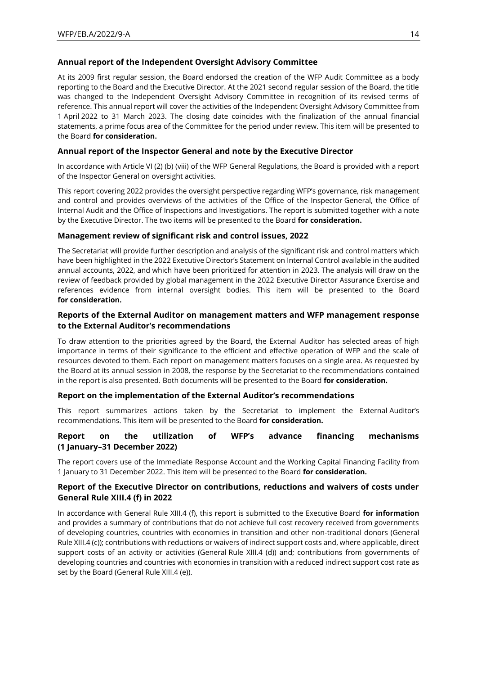#### **Annual report of the Independent Oversight Advisory Committee**

At its 2009 first regular session, the Board endorsed the creation of the WFP Audit Committee as a body reporting to the Board and the Executive Director. At the 2021 second regular session of the Board, the title was changed to the Independent Oversight Advisory Committee in recognition of its revised terms of reference. This annual report will cover the activities of the Independent Oversight Advisory Committee from 1 April 2022 to 31 March 2023. The closing date coincides with the finalization of the annual financial statements, a prime focus area of the Committee for the period under review. This item will be presented to the Board **for consideration.**

### **Annual report of the Inspector General and note by the Executive Director**

In accordance with Article VI (2) (b) (viii) of the WFP General Regulations, the Board is provided with a report of the Inspector General on oversight activities.

This report covering 2022 provides the oversight perspective regarding WFP's governance, risk management and control and provides overviews of the activities of the Office of the Inspector General, the Office of Internal Audit and the Office of Inspections and Investigations. The report is submitted together with a note by the Executive Director. The two items will be presented to the Board **for consideration.**

### **Management review of significant risk and control issues, 2022**

The Secretariat will provide further description and analysis of the significant risk and control matters which have been highlighted in the 2022 Executive Director's Statement on Internal Control available in the audited annual accounts, 2022, and which have been prioritized for attention in 2023. The analysis will draw on the review of feedback provided by global management in the 2022 Executive Director Assurance Exercise and references evidence from internal oversight bodies. This item will be presented to the Board **for consideration.**

### **Reports of the External Auditor on management matters and WFP management response to the External Auditor's recommendations**

To draw attention to the priorities agreed by the Board, the External Auditor has selected areas of high importance in terms of their significance to the efficient and effective operation of WFP and the scale of resources devoted to them. Each report on management matters focuses on a single area. As requested by the Board at its annual session in 2008, the response by the Secretariat to the recommendations contained in the report is also presented. Both documents will be presented to the Board **for consideration.**

#### **Report on the implementation of the External Auditor's recommendations**

This report summarizes actions taken by the Secretariat to implement the External Auditor's recommendations. This item will be presented to the Board **for consideration.**

### **Report on the utilization of WFP's advance financing mechanisms (1 January–31 December 2022)**

The report covers use of the Immediate Response Account and the Working Capital Financing Facility from 1 January to 31 December 2022. This item will be presented to the Board **for consideration.**

### **Report of the Executive Director on contributions, reductions and waivers of costs under General Rule XIII.4 (f) in 2022**

In accordance with General Rule XIII.4 (f), this report is submitted to the Executive Board **for information**  and provides a summary of contributions that do not achieve full cost recovery received from governments of developing countries, countries with economies in transition and other non-traditional donors (General Rule XIII.4 (c)); contributions with reductions or waivers of indirect support costs and, where applicable, direct support costs of an activity or activities (General Rule XIII.4 (d)) and; contributions from governments of developing countries and countries with economies in transition with a reduced indirect support cost rate as set by the Board (General Rule XIII.4 (e)).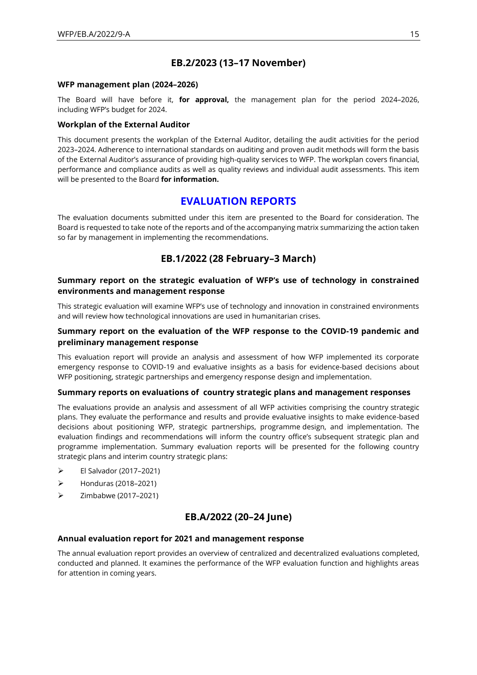# **EB.2/2023 (13–17 November)**

#### **WFP management plan (2024–2026)**

The Board will have before it, **for approval,** the management plan for the period 2024–2026, including WFP's budget for 2024.

#### **Workplan of the External Auditor**

This document presents the workplan of the External Auditor, detailing the audit activities for the period 2023–2024. Adherence to international standards on auditing and proven audit methods will form the basis of the External Auditor's assurance of providing high-quality services to WFP. The workplan covers financial, performance and compliance audits as well as quality reviews and individual audit assessments. This item will be presented to the Board **for information.**

# **EVALUATION REPORTS**

The evaluation documents submitted under this item are presented to the Board for consideration. The Board is requested to take note of the reports and of the accompanying matrix summarizing the action taken so far by management in implementing the recommendations.

# **EB.1/2022 (28 February–3 March)**

#### **Summary report on the strategic evaluation of WFP's use of technology in constrained environments and management response**

This strategic evaluation will examine WFP's use of technology and innovation in constrained environments and will review how technological innovations are used in humanitarian crises.

#### **Summary report on the evaluation of the WFP response to the COVID-19 pandemic and preliminary management response**

This evaluation report will provide an analysis and assessment of how WFP implemented its corporate emergency response to COVID-19 and evaluative insights as a basis for evidence-based decisions about WFP positioning, strategic partnerships and emergency response design and implementation.

#### **Summary reports on evaluations of country strategic plans and management responses**

The evaluations provide an analysis and assessment of all WFP activities comprising the country strategic plans. They evaluate the performance and results and provide evaluative insights to make evidence-based decisions about positioning WFP, strategic partnerships, programme design, and implementation. The evaluation findings and recommendations will inform the country office's subsequent strategic plan and programme implementation. Summary evaluation reports will be presented for the following country strategic plans and interim country strategic plans:

- ➢ El Salvador (2017–2021)
- ➢ Honduras (2018–2021)
- ➢ Zimbabwe (2017–2021)

# **EB.A/2022 (20–24 June)**

#### **Annual evaluation report for 2021 and management response**

The annual evaluation report provides an overview of centralized and decentralized evaluations completed, conducted and planned. It examines the performance of the WFP evaluation function and highlights areas for attention in coming years.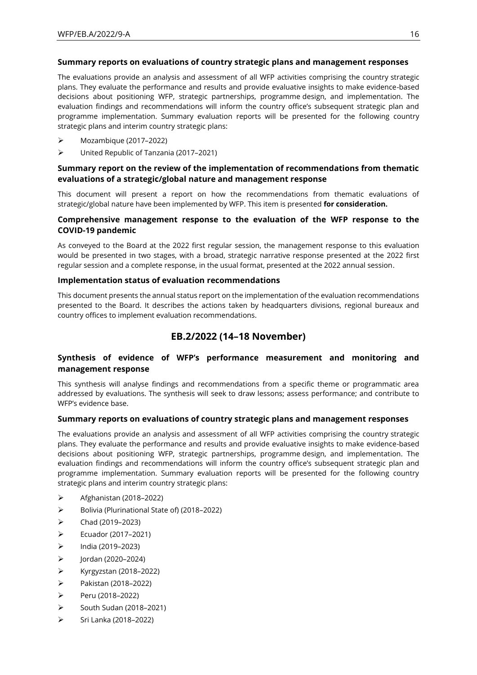#### **Summary reports on evaluations of country strategic plans and management responses**

The evaluations provide an analysis and assessment of all WFP activities comprising the country strategic plans. They evaluate the performance and results and provide evaluative insights to make evidence-based decisions about positioning WFP, strategic partnerships, programme design, and implementation. The evaluation findings and recommendations will inform the country office's subsequent strategic plan and programme implementation. Summary evaluation reports will be presented for the following country strategic plans and interim country strategic plans:

- $\triangleright$  Mozambique (2017–2022)
- ➢ United Republic of Tanzania (2017–2021)

### **Summary report on the review of the implementation of recommendations from thematic evaluations of a strategic/global nature and management response**

This document will present a report on how the recommendations from thematic evaluations of strategic/global nature have been implemented by WFP. This item is presented **for consideration.**

### **Comprehensive management response to the evaluation of the WFP response to the COVID-19 pandemic**

As conveyed to the Board at the 2022 first regular session, the management response to this evaluation would be presented in two stages, with a broad, strategic narrative response presented at the 2022 first regular session and a complete response, in the usual format, presented at the 2022 annual session.

#### **Implementation status of evaluation recommendations**

This document presents the annual status report on the implementation of the evaluation recommendations presented to the Board. It describes the actions taken by headquarters divisions, regional bureaux and country offices to implement evaluation recommendations.

# **EB.2/2022 (14–18 November)**

## **Synthesis of evidence of WFP's performance measurement and monitoring and management response**

This synthesis will analyse findings and recommendations from a specific theme or programmatic area addressed by evaluations. The synthesis will seek to draw lessons; assess performance; and contribute to WFP's evidence base.

#### **Summary reports on evaluations of country strategic plans and management responses**

The evaluations provide an analysis and assessment of all WFP activities comprising the country strategic plans. They evaluate the performance and results and provide evaluative insights to make evidence-based decisions about positioning WFP, strategic partnerships, programme design, and implementation. The evaluation findings and recommendations will inform the country office's subsequent strategic plan and programme implementation. Summary evaluation reports will be presented for the following country strategic plans and interim country strategic plans:

- ➢ Afghanistan (2018–2022)
- ➢ Bolivia (Plurinational State of) (2018–2022)
- ➢ Chad (2019–2023)
- ➢ Ecuador (2017–2021)
- ➢ India (2019–2023)
- $\triangleright$  Jordan (2020–2024)
- $\triangleright$  Kyrgyzstan (2018–2022)
- ➢ Pakistan (2018–2022)
- ➢ Peru (2018–2022)
- $\triangleright$  South Sudan (2018–2021)
- ➢ Sri Lanka (2018–2022)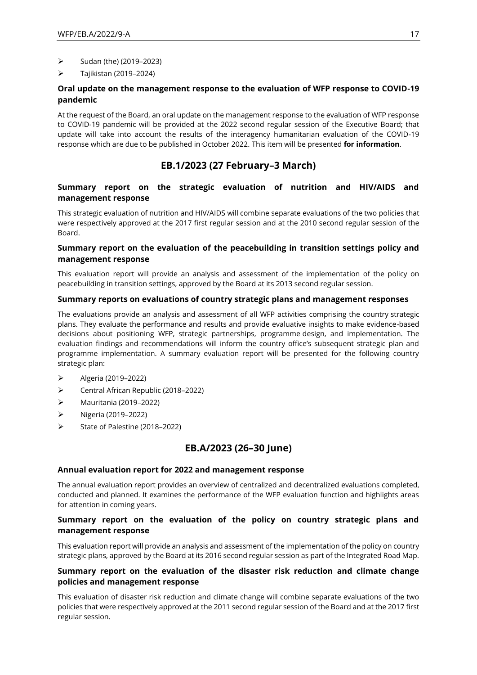- $\triangleright$  Sudan (the) (2019–2023)
- ➢ Tajikistan (2019–2024)

### **Oral update on the management response to the evaluation of WFP response to COVID-19 pandemic**

At the request of the Board, an oral update on the management response to the evaluation of WFP response to COVID-19 pandemic will be provided at the 2022 second regular session of the Executive Board; that update will take into account the results of the interagency humanitarian evaluation of the COVID-19 response which are due to be published in October 2022. This item will be presented **for information**.

# **EB.1/2023 (27 February–3 March)**

### **Summary report on the strategic evaluation of nutrition and HIV/AIDS and management response**

This strategic evaluation of nutrition and HIV/AIDS will combine separate evaluations of the two policies that were respectively approved at the 2017 first regular session and at the 2010 second regular session of the Board.

### **Summary report on the evaluation of the peacebuilding in transition settings policy and management response**

This evaluation report will provide an analysis and assessment of the implementation of the policy on peacebuilding in transition settings, approved by the Board at its 2013 second regular session.

#### **Summary reports on evaluations of country strategic plans and management responses**

The evaluations provide an analysis and assessment of all WFP activities comprising the country strategic plans. They evaluate the performance and results and provide evaluative insights to make evidence-based decisions about positioning WFP, strategic partnerships, programme design, and implementation. The evaluation findings and recommendations will inform the country office's subsequent strategic plan and programme implementation. A summary evaluation report will be presented for the following country strategic plan:

- ➢ Algeria (2019–2022)
- ➢ Central African Republic (2018–2022)
- ➢ Mauritania (2019–2022)
- ➢ Nigeria (2019–2022)
- ➢ State of Palestine (2018–2022)

# **EB.A/2023 (26–30 June)**

#### **Annual evaluation report for 2022 and management response**

The annual evaluation report provides an overview of centralized and decentralized evaluations completed, conducted and planned. It examines the performance of the WFP evaluation function and highlights areas for attention in coming years.

#### **Summary report on the evaluation of the policy on country strategic plans and management response**

This evaluation report will provide an analysis and assessment of the implementation of the policy on country strategic plans, approved by the Board at its 2016 second regular session as part of the Integrated Road Map.

### **Summary report on the evaluation of the disaster risk reduction and climate change policies and management response**

This evaluation of disaster risk reduction and climate change will combine separate evaluations of the two policies that were respectively approved at the 2011 second regular session of the Board and at the 2017 first regular session.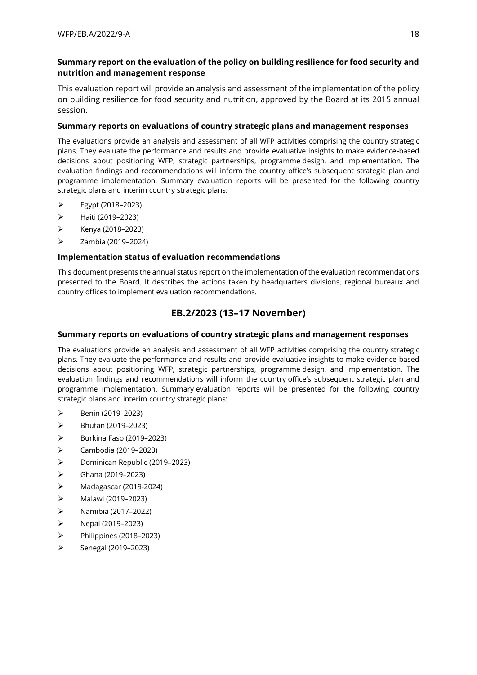## **Summary report on the evaluation of the policy on building resilience for food security and nutrition and management response**

This evaluation report will provide an analysis and assessment of the implementation of the policy on building resilience for food security and nutrition, approved by the Board at its 2015 annual session.

### **Summary reports on evaluations of country strategic plans and management responses**

The evaluations provide an analysis and assessment of all WFP activities comprising the country strategic plans. They evaluate the performance and results and provide evaluative insights to make evidence-based decisions about positioning WFP, strategic partnerships, programme design, and implementation. The evaluation findings and recommendations will inform the country office's subsequent strategic plan and programme implementation. Summary evaluation reports will be presented for the following country strategic plans and interim country strategic plans:

- ➢ Egypt (2018–2023)
- ➢ Haiti (2019–2023)
- ➢ Kenya (2018–2023)
- ➢ Zambia (2019–2024)

### **Implementation status of evaluation recommendations**

This document presents the annual status report on the implementation of the evaluation recommendations presented to the Board. It describes the actions taken by headquarters divisions, regional bureaux and country offices to implement evaluation recommendations.

# **EB.2/2023 (13–17 November)**

### **Summary reports on evaluations of country strategic plans and management responses**

The evaluations provide an analysis and assessment of all WFP activities comprising the country strategic plans. They evaluate the performance and results and provide evaluative insights to make evidence-based decisions about positioning WFP, strategic partnerships, programme design, and implementation. The evaluation findings and recommendations will inform the country office's subsequent strategic plan and programme implementation. Summary evaluation reports will be presented for the following country strategic plans and interim country strategic plans:

- ➢ Benin (2019–2023)
- $\triangleright$  Bhutan (2019–2023)
- $\triangleright$  Burkina Faso (2019–2023)
- ➢ Cambodia (2019–2023)
- ➢ Dominican Republic (2019–2023)
- $\triangleright$  Ghana (2019–2023)
- ➢ Madagascar (2019-2024)
- ➢ Malawi (2019–2023)
- ➢ Namibia (2017–2022)
- $\triangleright$  Nepal (2019–2023)
- ➢ Philippines (2018–2023)
- ➢ Senegal (2019–2023)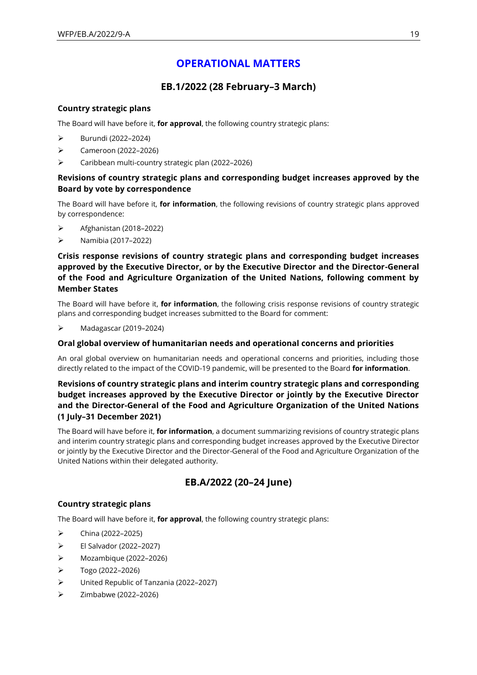# **OPERATIONAL MATTERS**

# **EB.1/2022 (28 February–3 March)**

### **Country strategic plans**

The Board will have before it, **for approval**, the following country strategic plans:

- ➢ Burundi (2022–2024)
- ➢ Cameroon (2022–2026)
- ➢ Caribbean multi-country strategic plan (2022–2026)

## **Revisions of country strategic plans and corresponding budget increases approved by the Board by vote by correspondence**

The Board will have before it, **for information**, the following revisions of country strategic plans approved by correspondence:

- ➢ Afghanistan (2018–2022)
- ➢ Namibia (2017–2022)

## **Crisis response revisions of country strategic plans and corresponding budget increases approved by the Executive Director, or by the Executive Director and the Director-General of the Food and Agriculture Organization of the United Nations, following comment by Member States**

The Board will have before it, **for information**, the following crisis response revisions of country strategic plans and corresponding budget increases submitted to the Board for comment:

➢ Madagascar (2019–2024)

## **Oral global overview of humanitarian needs and operational concerns and priorities**

An oral global overview on humanitarian needs and operational concerns and priorities, including those directly related to the impact of the COVID-19 pandemic, will be presented to the Board **for information**.

## **Revisions of country strategic plans and interim country strategic plans and corresponding budget increases approved by the Executive Director or jointly by the Executive Director and the Director-General of the Food and Agriculture Organization of the United Nations (1 July–31 December 2021)**

The Board will have before it, **for information**, a document summarizing revisions of country strategic plans and interim country strategic plans and corresponding budget increases approved by the Executive Director or jointly by the Executive Director and the Director-General of the Food and Agriculture Organization of the United Nations within their delegated authority.

# **EB.A/2022 (20–24 June)**

#### **Country strategic plans**

The Board will have before it, **for approval**, the following country strategic plans:

- $\triangleright$  China (2022–2025)
- ➢ El Salvador (2022–2027)
- ➢ Mozambique (2022–2026)
- ➢ Togo (2022–2026)
- ➢ United Republic of Tanzania (2022–2027)
- ➢ Zimbabwe (2022–2026)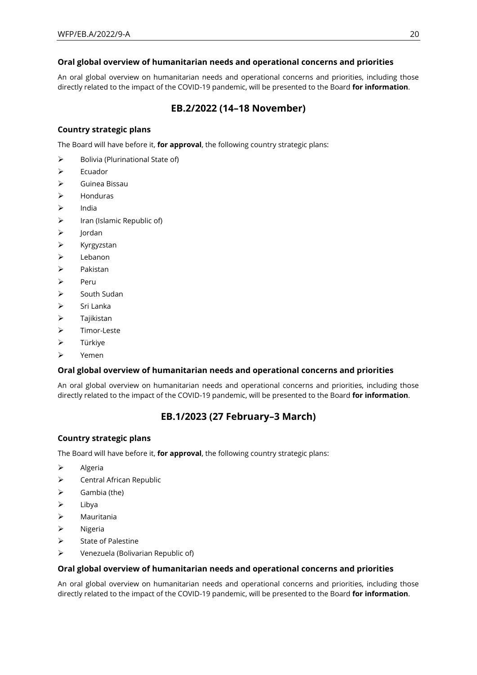### **Oral global overview of humanitarian needs and operational concerns and priorities**

An oral global overview on humanitarian needs and operational concerns and priorities, including those directly related to the impact of the COVID-19 pandemic, will be presented to the Board **for information**.

# **EB.2/2022 (14–18 November)**

#### **Country strategic plans**

The Board will have before it, **for approval**, the following country strategic plans:

- $\triangleright$  Bolivia (Plurinational State of)
- **Ecuador**
- ➢ Guinea Bissau
- ➢ Honduras
- ➢ India
- ➢ Iran (Islamic Republic of)
- ➢ Jordan
- ➢ Kyrgyzstan
- ➢ Lebanon
- ➢ Pakistan
- ➢ Peru
- ➢ South Sudan
- ➢ Sri Lanka
- ➢ Tajikistan
- ➢ Timor-Leste
- ➢ Türkiye
- ➢ Yemen

## **Oral global overview of humanitarian needs and operational concerns and priorities**

An oral global overview on humanitarian needs and operational concerns and priorities, including those directly related to the impact of the COVID-19 pandemic, will be presented to the Board **for information**.

# **EB.1/2023 (27 February–3 March)**

#### **Country strategic plans**

The Board will have before it, **for approval**, the following country strategic plans:

- ➢ Algeria
- ➢ Central African Republic
- $\triangleright$  Gambia (the)
- ➢ Libya
- ➢ Mauritania
- ➢ Nigeria
- ➢ State of Palestine
- ➢ Venezuela (Bolivarian Republic of)

#### **Oral global overview of humanitarian needs and operational concerns and priorities**

An oral global overview on humanitarian needs and operational concerns and priorities, including those directly related to the impact of the COVID-19 pandemic, will be presented to the Board **for information**.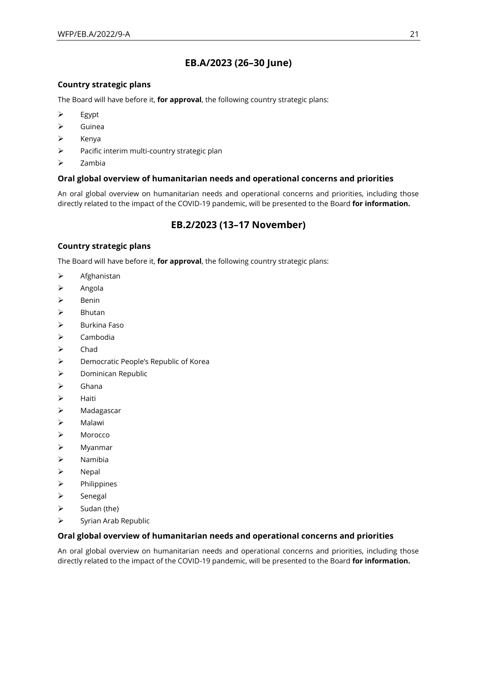# **EB.A/2023 (26–30 June)**

### **Country strategic plans**

The Board will have before it, **for approval**, the following country strategic plans:

- ➢ Egypt
- ➢ Guinea
- ➢ Kenya
- ➢ Pacific interim multi-country strategic plan
- ➢ Zambia

#### **Oral global overview of humanitarian needs and operational concerns and priorities**

An oral global overview on humanitarian needs and operational concerns and priorities, including those directly related to the impact of the COVID-19 pandemic, will be presented to the Board **for information.**

# **EB.2/2023 (13–17 November)**

#### **Country strategic plans**

The Board will have before it, **for approval**, the following country strategic plans:

- ➢ Afghanistan
- ➢ Angola
- ➢ Benin
- ➢ Bhutan
- ➢ Burkina Faso
- ➢ Cambodia
- ➢ Chad
- ➢ Democratic People's Republic of Korea
- ➢ Dominican Republic
- ➢ Ghana
- ➢ Haiti
- ➢ Madagascar
- ➢ Malawi
- ➢ Morocco
- ➢ Myanmar
- ➢ Namibia
- ➢ Nepal
- ➢ Philippines
- ➢ Senegal
- $\triangleright$  Sudan (the)
- ➢ Syrian Arab Republic

#### **Oral global overview of humanitarian needs and operational concerns and priorities**

An oral global overview on humanitarian needs and operational concerns and priorities, including those directly related to the impact of the COVID-19 pandemic, will be presented to the Board **for information.**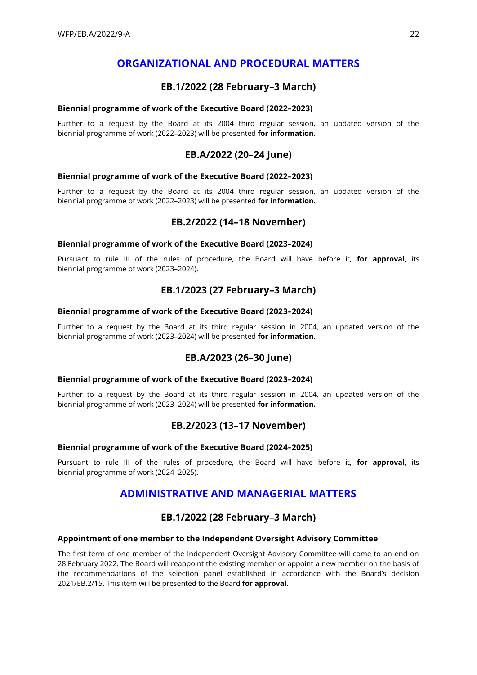# **ORGANIZATIONAL AND PROCEDURAL MATTERS**

## **EB.1/2022 (28 February–3 March)**

#### **Biennial programme of work of the Executive Board (2022–2023)**

Further to a request by the Board at its 2004 third regular session, an updated version of the biennial programme of work (2022–2023) will be presented **for information.**

## **EB.A/2022 (20–24 June)**

#### **Biennial programme of work of the Executive Board (2022–2023)**

Further to a request by the Board at its 2004 third regular session, an updated version of the biennial programme of work (2022–2023) will be presented **for information.**

### **EB.2/2022 (14–18 November)**

#### **Biennial programme of work of the Executive Board (2023–2024)**

Pursuant to rule III of the rules of procedure, the Board will have before it, **for approval**, its biennial programme of work (2023–2024).

## **EB.1/2023 (27 February–3 March)**

#### **Biennial programme of work of the Executive Board (2023–2024)**

Further to a request by the Board at its third regular session in 2004, an updated version of the biennial programme of work (2023–2024) will be presented **for information.**

## **EB.A/2023 (26–30 June)**

#### **Biennial programme of work of the Executive Board (2023–2024)**

Further to a request by the Board at its third regular session in 2004, an updated version of the biennial programme of work (2023–2024) will be presented **for information.**

## **EB.2/2023 (13–17 November)**

#### **Biennial programme of work of the Executive Board (2024–2025)**

Pursuant to rule III of the rules of procedure, the Board will have before it, **for approval**, its biennial programme of work (2024–2025).

# **ADMINISTRATIVE AND MANAGERIAL MATTERS**

## **EB.1/2022 (28 February–3 March)**

#### **Appointment of one member to the Independent Oversight Advisory Committee**

The first term of one member of the Independent Oversight Advisory Committee will come to an end on 28 February 2022. The Board will reappoint the existing member or appoint a new member on the basis of the recommendations of the selection panel established in accordance with the Board's decision 2021/EB.2/15. This item will be presented to the Board **for approval.**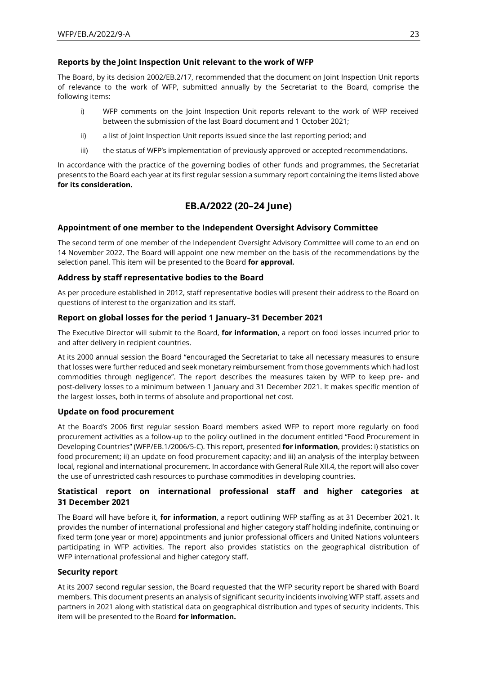#### **Reports by the Joint Inspection Unit relevant to the work of WFP**

The Board, by its decision 2002/EB.2/17, recommended that the document on Joint Inspection Unit reports of relevance to the work of WFP, submitted annually by the Secretariat to the Board, comprise the following items:

- i) WFP comments on the Joint Inspection Unit reports relevant to the work of WFP received between the submission of the last Board document and 1 October 2021;
- ii) a list of Joint Inspection Unit reports issued since the last reporting period; and
- iii) the status of WFP's implementation of previously approved or accepted recommendations.

In accordance with the practice of the governing bodies of other funds and programmes, the Secretariat presents to the Board each year at its first regular session a summary report containing the items listed above **for its consideration.**

# **EB.A/2022 (20–24 June)**

### **Appointment of one member to the Independent Oversight Advisory Committee**

The second term of one member of the Independent Oversight Advisory Committee will come to an end on 14 November 2022. The Board will appoint one new member on the basis of the recommendations by the selection panel. This item will be presented to the Board **for approval.**

### **Address by staff representative bodies to the Board**

As per procedure established in 2012, staff representative bodies will present their address to the Board on questions of interest to the organization and its staff.

#### **Report on global losses for the period 1 January–31 December 2021**

The Executive Director will submit to the Board, **for information**, a report on food losses incurred prior to and after delivery in recipient countries.

At its 2000 annual session the Board "encouraged the Secretariat to take all necessary measures to ensure that losses were further reduced and seek monetary reimbursement from those governments which had lost commodities through negligence". The report describes the measures taken by WFP to keep pre- and post-delivery losses to a minimum between 1 January and 31 December 2021. It makes specific mention of the largest losses, both in terms of absolute and proportional net cost.

#### **Update on food procurement**

At the Board's 2006 first regular session Board members asked WFP to report more regularly on food procurement activities as a follow-up to the policy outlined in the document entitled "Food Procurement in Developing Countries" (WFP/EB.1/2006/5-C). This report, presented **for information**, provides: i) statistics on food procurement; ii) an update on food procurement capacity; and iii) an analysis of the interplay between local, regional and international procurement. In accordance with General Rule XII.4, the report will also cover the use of unrestricted cash resources to purchase commodities in developing countries.

## **Statistical report on international professional staff and higher categories at 31 December 2021**

The Board will have before it, **for information**, a report outlining WFP staffing as at 31 December 2021. It provides the number of international professional and higher category staff holding indefinite, continuing or fixed term (one year or more) appointments and junior professional officers and United Nations volunteers participating in WFP activities. The report also provides statistics on the geographical distribution of WFP international professional and higher category staff.

#### **Security report**

At its 2007 second regular session, the Board requested that the WFP security report be shared with Board members. This document presents an analysis of significant security incidents involving WFP staff, assets and partners in 2021 along with statistical data on geographical distribution and types of security incidents. This item will be presented to the Board **for information.**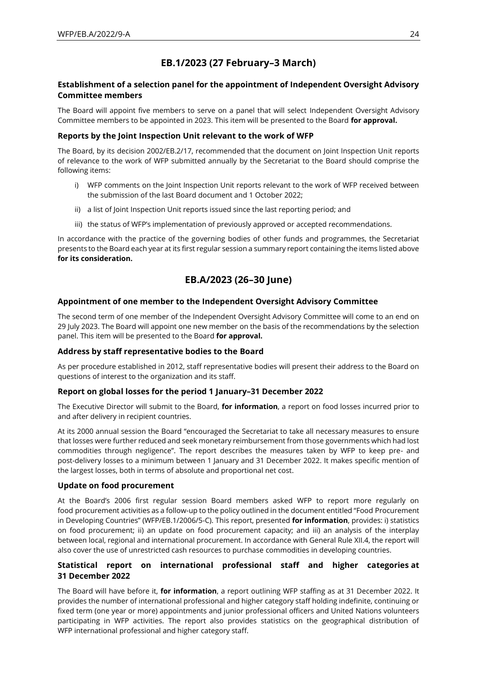# **EB.1/2023 (27 February–3 March)**

### **Establishment of a selection panel for the appointment of Independent Oversight Advisory Committee members**

The Board will appoint five members to serve on a panel that will select Independent Oversight Advisory Committee members to be appointed in 2023. This item will be presented to the Board **for approval.**

#### **Reports by the Joint Inspection Unit relevant to the work of WFP**

The Board, by its decision 2002/EB.2/17, recommended that the document on Joint Inspection Unit reports of relevance to the work of WFP submitted annually by the Secretariat to the Board should comprise the following items:

- i) WFP comments on the Joint Inspection Unit reports relevant to the work of WFP received between the submission of the last Board document and 1 October 2022;
- ii) a list of Joint Inspection Unit reports issued since the last reporting period; and
- iii) the status of WFP's implementation of previously approved or accepted recommendations.

In accordance with the practice of the governing bodies of other funds and programmes, the Secretariat presents to the Board each year at its first regular session a summary report containing the items listed above **for its consideration.**

# **EB.A/2023 (26–30 June)**

### **Appointment of one member to the Independent Oversight Advisory Committee**

The second term of one member of the Independent Oversight Advisory Committee will come to an end on 29 July 2023. The Board will appoint one new member on the basis of the recommendations by the selection panel. This item will be presented to the Board **for approval.**

## **Address by staff representative bodies to the Board**

As per procedure established in 2012, staff representative bodies will present their address to the Board on questions of interest to the organization and its staff.

#### **Report on global losses for the period 1 January–31 December 2022**

The Executive Director will submit to the Board, **for information**, a report on food losses incurred prior to and after delivery in recipient countries.

At its 2000 annual session the Board "encouraged the Secretariat to take all necessary measures to ensure that losses were further reduced and seek monetary reimbursement from those governments which had lost commodities through negligence". The report describes the measures taken by WFP to keep pre- and post-delivery losses to a minimum between 1 January and 31 December 2022. It makes specific mention of the largest losses, both in terms of absolute and proportional net cost.

#### **Update on food procurement**

At the Board's 2006 first regular session Board members asked WFP to report more regularly on food procurement activities as a follow-up to the policy outlined in the document entitled "Food Procurement in Developing Countries" (WFP/EB.1/2006/5-C). This report, presented **for information**, provides: i) statistics on food procurement; ii) an update on food procurement capacity; and iii) an analysis of the interplay between local, regional and international procurement. In accordance with General Rule XII.4, the report will also cover the use of unrestricted cash resources to purchase commodities in developing countries.

### **Statistical report on international professional staff and higher categories at 31 December 2022**

The Board will have before it, **for information**, a report outlining WFP staffing as at 31 December 2022. It provides the number of international professional and higher category staff holding indefinite, continuing or fixed term (one year or more) appointments and junior professional officers and United Nations volunteers participating in WFP activities. The report also provides statistics on the geographical distribution of WFP international professional and higher category staff.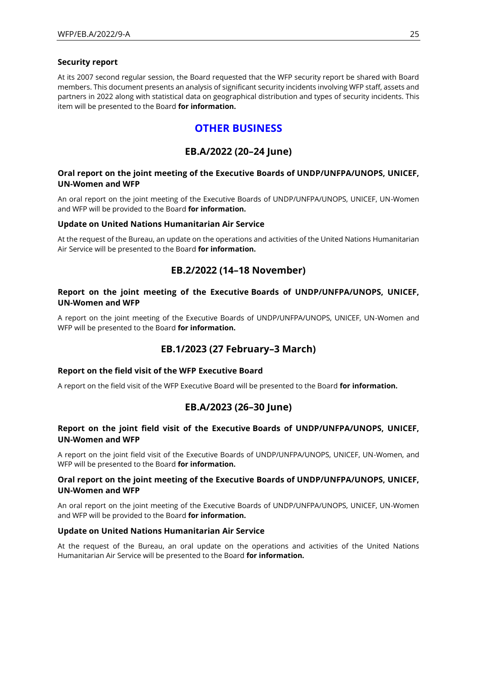#### **Security report**

At its 2007 second regular session, the Board requested that the WFP security report be shared with Board members. This document presents an analysis of significant security incidents involving WFP staff, assets and partners in 2022 along with statistical data on geographical distribution and types of security incidents. This item will be presented to the Board **for information.**

# **OTHER BUSINESS**

### **EB.A/2022 (20–24 June)**

#### **Oral report on the joint meeting of the Executive Boards of UNDP/UNFPA/UNOPS, UNICEF, UN-Women and WFP**

An oral report on the joint meeting of the Executive Boards of UNDP/UNFPA/UNOPS, UNICEF, UN-Women and WFP will be provided to the Board **for information.**

#### **Update on United Nations Humanitarian Air Service**

At the request of the Bureau, an update on the operations and activities of the United Nations Humanitarian Air Service will be presented to the Board **for information.**

### **EB.2/2022 (14–18 November)**

#### **Report on the joint meeting of the Executive Boards of UNDP/UNFPA/UNOPS, UNICEF, UN-Women and WFP**

A report on the joint meeting of the Executive Boards of UNDP/UNFPA/UNOPS, UNICEF, UN-Women and WFP will be presented to the Board **for information.**

#### **EB.1/2023 (27 February–3 March)**

#### **Report on the field visit of the WFP Executive Board**

A report on the field visit of the WFP Executive Board will be presented to the Board **for information.**

#### **EB.A/2023 (26–30 June)**

#### **Report on the joint field visit of the Executive Boards of UNDP/UNFPA/UNOPS, UNICEF, UN-Women and WFP**

A report on the joint field visit of the Executive Boards of UNDP/UNFPA/UNOPS, UNICEF, UN-Women, and WFP will be presented to the Board **for information.**

#### **Oral report on the joint meeting of the Executive Boards of UNDP/UNFPA/UNOPS, UNICEF, UN-Women and WFP**

An oral report on the joint meeting of the Executive Boards of UNDP/UNFPA/UNOPS, UNICEF, UN-Women and WFP will be provided to the Board **for information.**

#### **Update on United Nations Humanitarian Air Service**

At the request of the Bureau, an oral update on the operations and activities of the United Nations Humanitarian Air Service will be presented to the Board **for information.**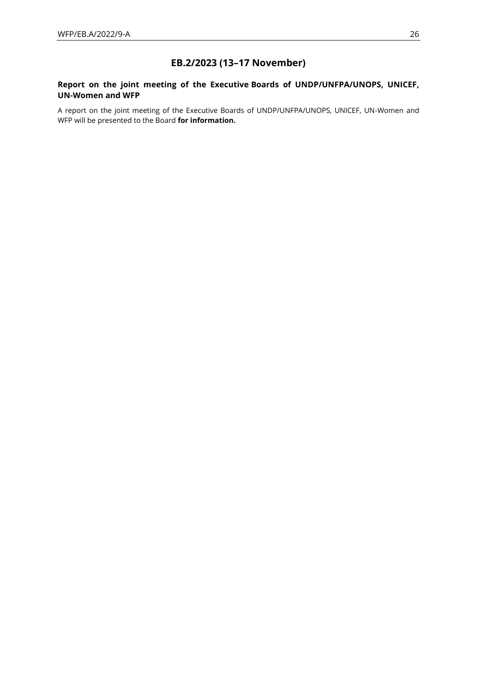# **EB.2/2023 (13–17 November)**

### **Report on the joint meeting of the Executive Boards of UNDP/UNFPA/UNOPS, UNICEF, UN-Women and WFP**

A report on the joint meeting of the Executive Boards of UNDP/UNFPA/UNOPS, UNICEF, UN-Women and WFP will be presented to the Board **for information.**